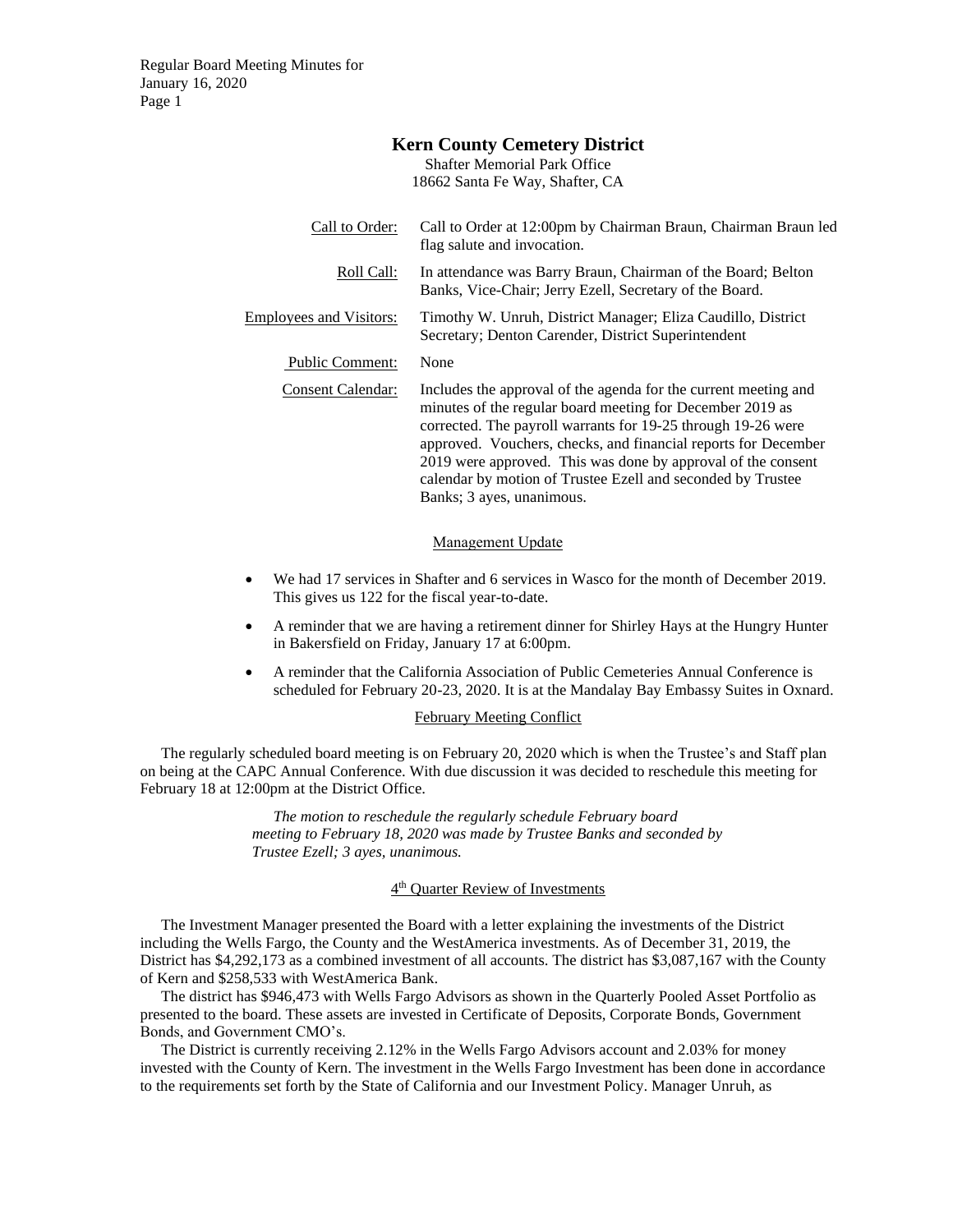Regular Board Meeting Minutes for January 16, 2020 Page 1

| <b>Shafter Memorial Park Office</b> |                                                                                                                                                                                                                                                                                                                                                                                                                            |
|-------------------------------------|----------------------------------------------------------------------------------------------------------------------------------------------------------------------------------------------------------------------------------------------------------------------------------------------------------------------------------------------------------------------------------------------------------------------------|
|                                     | 18662 Santa Fe Way, Shafter, CA                                                                                                                                                                                                                                                                                                                                                                                            |
| Call to Order:                      | Call to Order at 12:00pm by Chairman Braun, Chairman Braun led<br>flag salute and invocation.                                                                                                                                                                                                                                                                                                                              |
| Roll Call:                          | In attendance was Barry Braun, Chairman of the Board; Belton<br>Banks, Vice-Chair; Jerry Ezell, Secretary of the Board.                                                                                                                                                                                                                                                                                                    |
| <b>Employees and Visitors:</b>      | Timothy W. Unruh, District Manager; Eliza Caudillo, District<br>Secretary; Denton Carender, District Superintendent                                                                                                                                                                                                                                                                                                        |
| Public Comment:                     | None                                                                                                                                                                                                                                                                                                                                                                                                                       |
| <b>Consent Calendar:</b>            | Includes the approval of the agenda for the current meeting and<br>minutes of the regular board meeting for December 2019 as<br>corrected. The payroll warrants for 19-25 through 19-26 were<br>approved. Vouchers, checks, and financial reports for December<br>2019 were approved. This was done by approval of the consent<br>calendar by motion of Trustee Ezell and seconded by Trustee<br>Banks; 3 ayes, unanimous. |

**Kern County Cemetery District**

#### Management Update

- We had 17 services in Shafter and 6 services in Wasco for the month of December 2019. This gives us 122 for the fiscal year-to-date.
- A reminder that we are having a retirement dinner for Shirley Hays at the Hungry Hunter in Bakersfield on Friday, January 17 at 6:00pm.
- A reminder that the California Association of Public Cemeteries Annual Conference is scheduled for February 20-23, 2020. It is at the Mandalay Bay Embassy Suites in Oxnard.

### February Meeting Conflict

The regularly scheduled board meeting is on February 20, 2020 which is when the Trustee's and Staff plan on being at the CAPC Annual Conference. With due discussion it was decided to reschedule this meeting for February 18 at 12:00pm at the District Office.

> *The motion to reschedule the regularly schedule February board meeting to February 18, 2020 was made by Trustee Banks and seconded by Trustee Ezell; 3 ayes, unanimous.*

## 4<sup>th</sup> Quarter Review of Investments

The Investment Manager presented the Board with a letter explaining the investments of the District including the Wells Fargo, the County and the WestAmerica investments. As of December 31, 2019, the District has \$4,292,173 as a combined investment of all accounts. The district has \$3,087,167 with the County of Kern and \$258,533 with WestAmerica Bank.

The district has \$946,473 with Wells Fargo Advisors as shown in the Quarterly Pooled Asset Portfolio as presented to the board. These assets are invested in Certificate of Deposits, Corporate Bonds, Government Bonds, and Government CMO's.

The District is currently receiving 2.12% in the Wells Fargo Advisors account and 2.03% for money invested with the County of Kern. The investment in the Wells Fargo Investment has been done in accordance to the requirements set forth by the State of California and our Investment Policy. Manager Unruh, as